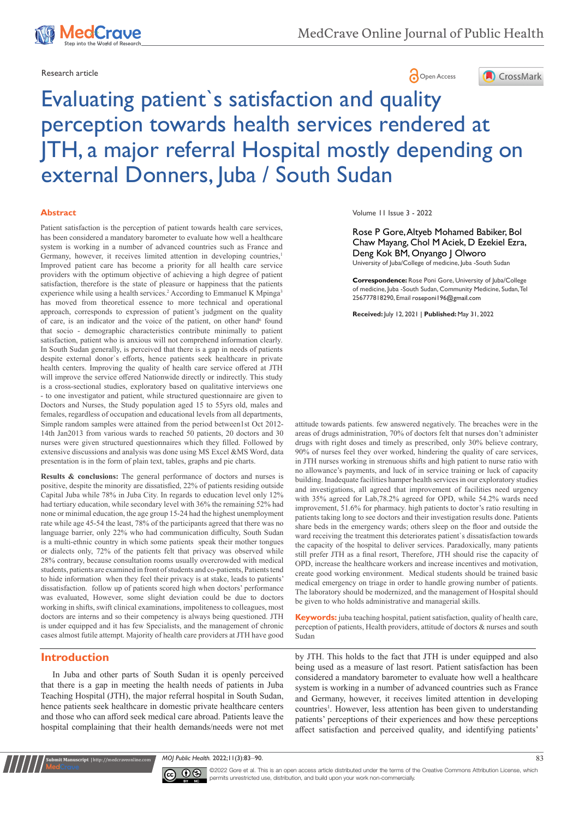



# Evaluating patient`s satisfaction and quality perception towards health services rendered at JTH, a major referral Hospital mostly depending on external Donners, Juba / South Sudan

#### **Abstract**

Patient satisfaction is the perception of patient towards health care services, has been considered a mandatory barometer to evaluate how well a healthcare system is working in a number of advanced countries such as France and Germany, however, it receives limited attention in developing countries,<sup>1</sup> Improved patient care has become a priority for all health care service providers with the optimum objective of achieving a high degree of patient satisfaction, therefore is the state of pleasure or happiness that the patients experience while using a health services.<sup>2</sup> According to Emmanuel K Mpinga<sup>3</sup> has moved from theoretical essence to more technical and operational approach, corresponds to expression of patient's judgment on the quality of care, is an indicator and the voice of the patient, on other hand<sup>6</sup> found that socio - demographic characteristics contribute minimally to patient satisfaction, patient who is anxious will not comprehend information clearly. In South Sudan generally, is perceived that there is a gap in needs of patients despite external donor`s efforts, hence patients seek healthcare in private health centers. Improving the quality of health care service offered at JTH will improve the service offered Nationwide directly or indirectly. This study is a cross-sectional studies, exploratory based on qualitative interviews one - to one investigator and patient, while structured questionnaire are given to Doctors and Nurses, the Study population aged 15 to 55yrs old, males and females, regardless of occupation and educational levels from all departments, Simple random samples were attained from the period between1st Oct 2012- 14th Jan2013 from various wards to reached 50 patients, 20 doctors and 30 nurses were given structured questionnaires which they filled. Followed by extensive discussions and analysis was done using MS Excel &MS Word, data presentation is in the form of plain text, tables, graphs and pie charts.

**Results & conclusions:** The general performance of doctors and nurses is positive, despite the minority are dissatisfied, 22% of patients residing outside Capital Juba while 78% in Juba City. In regards to education level only 12% had tertiary education, while secondary level with 36% the remaining 52% had none or minimal education, the age group 15-24 had the highest unemployment rate while age 45-54 the least, 78% of the participants agreed that there was no language barrier, only 22% who had communication difficulty, South Sudan is a multi-ethnic country in which some patients speak their mother tongues or dialects only, 72% of the patients felt that privacy was observed while 28% contrary, because consultation rooms usually overcrowded with medical students, patients are examined in front of students and co-patients, Patients tend to hide information when they feel their privacy is at stake, leads to patients' dissatisfaction. follow up of patients scored high when doctors' performance was evaluated, However, some slight deviation could be due to doctors working in shifts, swift clinical examinations, impoliteness to colleagues, most doctors are interns and so their competency is always being questioned. JTH is under equipped and it has few Specialists, and the management of chronic cases almost futile attempt. Majority of health care providers at JTH have good

# **Introduction**

**nit Manuscript** | http://medcraveonline.c

In Juba and other parts of South Sudan it is openly perceived that there is a gap in meeting the health needs of patients in Juba Teaching Hospital (JTH), the major referral hospital in South Sudan, hence patients seek healthcare in domestic private healthcare centers and those who can afford seek medical care abroad. Patients leave the hospital complaining that their health demands/needs were not met Volume 11 Issue 3 - 2022

Rose P Gore, Altyeb Mohamed Babiker, Bol Chaw Mayang, Chol M Aciek, D Ezekiel Ezra, Deng Kok BM, Onyango J Olworo University of Juba/College of medicine, Juba -South Sudan

**Correspondence:** Rose Poni Gore, University of Juba/College of medicine, Juba -South Sudan, Community Medicine, Sudan, Tel 256777818290, Email roseponi196@gmail.com

**Received:** July 12, 2021 | **Published:** May 31, 2022

attitude towards patients. few answered negatively. The breaches were in the areas of drugs administration, 70% of doctors felt that nurses don't administer drugs with right doses and timely as prescribed, only 30% believe contrary, 90% of nurses feel they over worked, hindering the quality of care services, in JTH nurses working in strenuous shifts and high patient to nurse ratio with no allowance's payments, and luck of in service training or luck of capacity building. Inadequate facilities hamper health services in our exploratory studies and investigations, all agreed that improvement of facilities need urgency with 35% agreed for Lab,78.2% agreed for OPD, while 54.2% wards need improvement, 51.6% for pharmacy. high patients to doctor's ratio resulting in patients taking long to see doctors and their investigation results done. Patients share beds in the emergency wards; others sleep on the floor and outside the ward receiving the treatment this deteriorates patient`s dissatisfaction towards the capacity of the hospital to deliver services. Paradoxically, many patients still prefer JTH as a final resort, Therefore, JTH should rise the capacity of OPD, increase the healthcare workers and increase incentives and motivation, create good working environment. Medical students should be trained basic medical emergency on triage in order to handle growing number of patients. The laboratory should be modernized, and the management of Hospital should be given to who holds administrative and managerial skills.

**Keywords:** juba teaching hospital, patient satisfaction, quality of health care, perception of patients, Health providers, attitude of doctors & nurses and south Sudan

by JTH. This holds to the fact that JTH is under equipped and also being used as a measure of last resort. Patient satisfaction has been considered a mandatory barometer to evaluate how well a healthcare system is working in a number of advanced countries such as France and Germany, however, it receives limited attention in developing countries<sup>1</sup>. However, less attention has been given to understanding patients' perceptions of their experiences and how these perceptions affect satisfaction and perceived quality, and identifying patients'

*MOJ Public Health.* 2022;11(3):83‒90. 83



©2022 Gore et al. This is an open access article distributed under the terms of the Creative Commons Attribution License, which permits unrestricted use, distribution, and build upon your work non-commercially.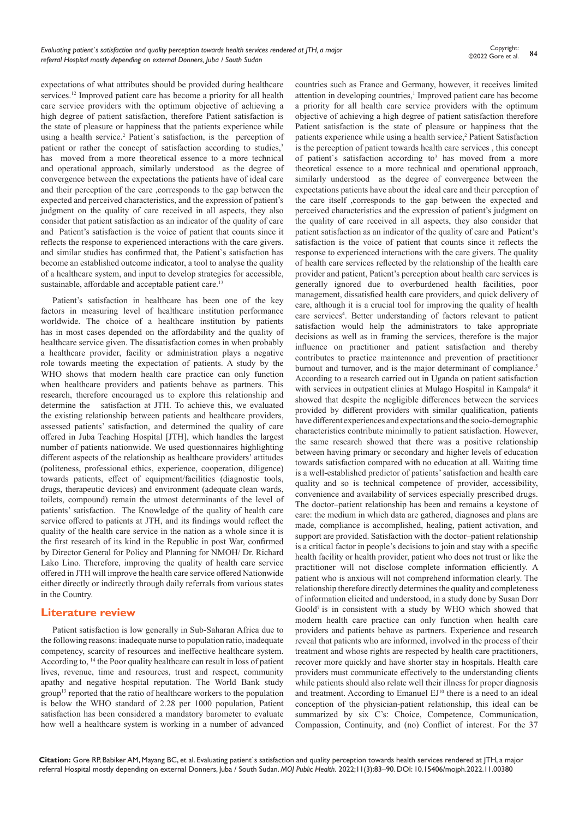expectations of what attributes should be provided during healthcare services.<sup>12</sup> Improved patient care has become a priority for all health care service providers with the optimum objective of achieving a high degree of patient satisfaction, therefore Patient satisfaction is the state of pleasure or happiness that the patients experience while using a health service.<sup>2</sup> Patient's satisfaction, is the perception of patient or rather the concept of satisfaction according to studies,<sup>3</sup> has moved from a more theoretical essence to a more technical and operational approach, similarly understood as the degree of convergence between the expectations the patients have of ideal care and their perception of the care ,corresponds to the gap between the expected and perceived characteristics, and the expression of patient's judgment on the quality of care received in all aspects, they also consider that patient satisfaction as an indicator of the quality of care and Patient's satisfaction is the voice of patient that counts since it reflects the response to experienced interactions with the care givers. and similar studies has confirmed that, the Patient`s satisfaction has become an established outcome indicator, a tool to analyse the quality of a healthcare system, and input to develop strategies for accessible, sustainable, affordable and acceptable patient care.<sup>13</sup>

Patient's satisfaction in healthcare has been one of the key factors in measuring level of healthcare institution performance worldwide. The choice of a healthcare institution by patients has in most cases depended on the affordability and the quality of healthcare service given. The dissatisfaction comes in when probably a healthcare provider, facility or administration plays a negative role towards meeting the expectation of patients. A study by the WHO shows that modern health care practice can only function when healthcare providers and patients behave as partners. This research, therefore encouraged us to explore this relationship and determine the satisfaction at JTH. To achieve this, we evaluated the existing relationship between patients and healthcare providers, assessed patients' satisfaction, and determined the quality of care offered in Juba Teaching Hospital [JTH], which handles the largest number of patients nationwide. We used questionnaires highlighting different aspects of the relationship as healthcare providers' attitudes (politeness, professional ethics, experience, cooperation, diligence) towards patients, effect of equipment/facilities (diagnostic tools, drugs, therapeutic devices) and environment (adequate clean wards, toilets, compound) remain the utmost determinants of the level of patients' satisfaction. The Knowledge of the quality of health care service offered to patients at JTH, and its findings would reflect the quality of the health care service in the nation as a whole since it is the first research of its kind in the Republic in post War, confirmed by Director General for Policy and Planning for NMOH/ Dr. Richard Lako Lino. Therefore, improving the quality of health care service offered in JTH will improve the health care service offered Nationwide either directly or indirectly through daily referrals from various states in the Country.

# **Literature review**

Patient satisfaction is low generally in Sub-Saharan Africa due to the following reasons: inadequate nurse to population ratio, inadequate competency, scarcity of resources and ineffective healthcare system. According to, 14 the Poor quality healthcare can result in loss of patient lives, revenue, time and resources, trust and respect, community apathy and negative hospital reputation. The World Bank study group<sup>13</sup> reported that the ratio of healthcare workers to the population is below the WHO standard of 2.28 per 1000 population, Patient satisfaction has been considered a mandatory barometer to evaluate how well a healthcare system is working in a number of advanced countries such as France and Germany, however, it receives limited attention in developing countries,<sup>1</sup> Improved patient care has become a priority for all health care service providers with the optimum objective of achieving a high degree of patient satisfaction therefore Patient satisfaction is the state of pleasure or happiness that the patients experience while using a health service,<sup>2</sup> Patient Satisfaction is the perception of patient towards health care services , this concept of patient's satisfaction according to<sup>3</sup> has moved from a more theoretical essence to a more technical and operational approach, similarly understood as the degree of convergence between the expectations patients have about the ideal care and their perception of the care itself ,corresponds to the gap between the expected and perceived characteristics and the expression of patient's judgment on the quality of care received in all aspects, they also consider that patient satisfaction as an indicator of the quality of care and Patient's satisfaction is the voice of patient that counts since it reflects the response to experienced interactions with the care givers. The quality of health care services reflected by the relationship of the health care provider and patient, Patient's perception about health care services is generally ignored due to overburdened health facilities, poor management, dissatisfied health care providers, and quick delivery of care, although it is a crucial tool for improving the quality of health care services<sup>4</sup>. Better understanding of factors relevant to patient satisfaction would help the administrators to take appropriate decisions as well as in framing the services, therefore is the major influence on practitioner and patient satisfaction and thereby contributes to practice maintenance and prevention of practitioner burnout and turnover, and is the major determinant of compliance.<sup>5</sup> According to a research carried out in Uganda on patient satisfaction with services in outpatient clinics at Mulago Hospital in Kampala<sup>6</sup> it showed that despite the negligible differences between the services provided by different providers with similar qualification, patients have different experiences and expectations and the socio-demographic characteristics contribute minimally to patient satisfaction. However, the same research showed that there was a positive relationship between having primary or secondary and higher levels of education towards satisfaction compared with no education at all. Waiting time is a well-established predictor of patients' satisfaction and health care quality and so is technical competence of provider, accessibility, convenience and availability of services especially prescribed drugs. The doctor–patient relationship has been and remains a keystone of care: the medium in which data are gathered, diagnoses and plans are made, compliance is accomplished, healing, patient activation, and support are provided. Satisfaction with the doctor–patient relationship is a critical factor in people's decisions to join and stay with a specific health facility or health provider, patient who does not trust or like the practitioner will not disclose complete information efficiently. A patient who is anxious will not comprehend information clearly. The relationship therefore directly determines the quality and completeness of information elicited and understood, in a study done by Susan Dorr Goold7 is in consistent with a study by WHO which showed that modern health care practice can only function when health care providers and patients behave as partners. Experience and research reveal that patients who are informed, involved in the process of their treatment and whose rights are respected by health care practitioners, recover more quickly and have shorter stay in hospitals. Health care providers must communicate effectively to the understanding clients while patients should also relate well their illness for proper diagnosis and treatment. According to Emanuel EJ<sup>10</sup> there is a need to an ideal conception of the physician-patient relationship, this ideal can be summarized by six C's: Choice, Competence, Communication, Compassion, Continuity, and (no) Conflict of interest. For the 37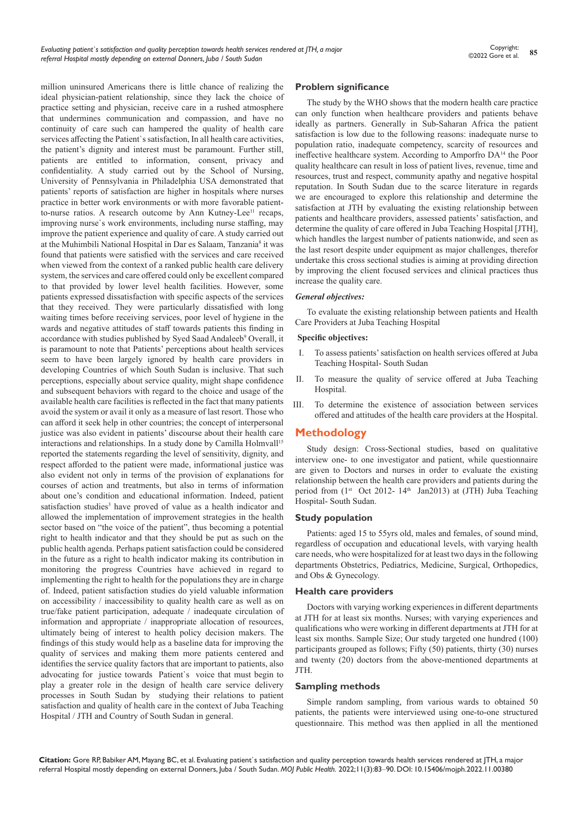million uninsured Americans there is little chance of realizing the ideal physician-patient relationship, since they lack the choice of practice setting and physician, receive care in a rushed atmosphere that undermines communication and compassion, and have no continuity of care such can hampered the quality of health care services affecting the Patient`s satisfaction, In all health care activities, the patient's dignity and interest must be paramount. Further still, patients are entitled to information, consent, privacy and confidentiality. A study carried out by the School of Nursing, University of Pennsylvania in Philadelphia USA demonstrated that patients' reports of satisfaction are higher in hospitals where nurses practice in better work environments or with more favorable patientto-nurse ratios. A research outcome by Ann Kutney-Lee<sup>11</sup> recaps, improving nurse`s work environments, including nurse staffing, may improve the patient experience and quality of care. A study carried out at the Muhimbili National Hospital in Dar es Salaam, Tanzania<sup>8</sup> it was found that patients were satisfied with the services and care received when viewed from the context of a ranked public health care delivery system, the services and care offered could only be excellent compared to that provided by lower level health facilities. However, some patients expressed dissatisfaction with specific aspects of the services that they received. They were particularly dissatisfied with long waiting times before receiving services, poor level of hygiene in the wards and negative attitudes of staff towards patients this finding in accordance with studies published by Syed Saad Andaleeb<sup>9</sup> Overall, it is paramount to note that Patients' perceptions about health services seem to have been largely ignored by health care providers in developing Countries of which South Sudan is inclusive. That such perceptions, especially about service quality, might shape confidence and subsequent behaviors with regard to the choice and usage of the available health care facilities is reflected in the fact that many patients avoid the system or avail it only as a measure of last resort. Those who can afford it seek help in other countries; the concept of interpersonal justice was also evident in patients' discourse about their health care interactions and relationships. In a study done by Camilla Holmvall<sup>15</sup> reported the statements regarding the level of sensitivity, dignity, and respect afforded to the patient were made, informational justice was also evident not only in terms of the provision of explanations for courses of action and treatments, but also in terms of information about one's condition and educational information. Indeed, patient satisfaction studies<sup>3</sup> have proved of value as a health indicator and allowed the implementation of improvement strategies in the health sector based on "the voice of the patient", thus becoming a potential right to health indicator and that they should be put as such on the public health agenda. Perhaps patient satisfaction could be considered in the future as a right to health indicator making its contribution in monitoring the progress Countries have achieved in regard to implementing the right to health for the populations they are in charge of. Indeed, patient satisfaction studies do yield valuable information on accessibility / inaccessibility to quality health care as well as on true/fake patient participation, adequate / inadequate circulation of information and appropriate / inappropriate allocation of resources, ultimately being of interest to health policy decision makers. The findings of this study would help as a baseline data for improving the quality of services and making them more patients centered and identifies the service quality factors that are important to patients, also advocating for justice towards Patient`s voice that must begin to play a greater role in the design of health care service delivery processes in South Sudan by studying their relations to patient satisfaction and quality of health care in the context of Juba Teaching Hospital / JTH and Country of South Sudan in general.

#### **Problem significance**

The study by the WHO shows that the modern health care practice can only function when healthcare providers and patients behave ideally as partners. Generally in Sub-Saharan Africa the patient satisfaction is low due to the following reasons: inadequate nurse to population ratio, inadequate competency, scarcity of resources and ineffective healthcare system. According to Amporfro DA<sup>14</sup> the Poor quality healthcare can result in loss of patient lives, revenue, time and resources, trust and respect, community apathy and negative hospital reputation. In South Sudan due to the scarce literature in regards we are encouraged to explore this relationship and determine the satisfaction at JTH by evaluating the existing relationship between patients and healthcare providers, assessed patients' satisfaction, and determine the quality of care offered in Juba Teaching Hospital [JTH], which handles the largest number of patients nationwide, and seen as the last resort despite under equipment as major challenges, therefor undertake this cross sectional studies is aiming at providing direction by improving the client focused services and clinical practices thus increase the quality care.

#### *General objectives:*

To evaluate the existing relationship between patients and Health Care Providers at Juba Teaching Hospital

#### **Specific objectives:**

- To assess patients' satisfaction on health services offered at Juba Teaching Hospital- South Sudan
- II. To measure the quality of service offered at Juba Teaching Hospital.
- III. To determine the existence of association between services offered and attitudes of the health care providers at the Hospital.

# **Methodology**

Study design: Cross-Sectional studies, based on qualitative interview one- to one investigator and patient, while questionnaire are given to Doctors and nurses in order to evaluate the existing relationship between the health care providers and patients during the period from (1st Oct 2012- 14th Jan2013) at (JTH) Juba Teaching Hospital- South Sudan.

#### **Study population**

Patients: aged 15 to 55yrs old, males and females, of sound mind, regardless of occupation and educational levels, with varying health care needs, who were hospitalized for at least two days in the following departments Obstetrics, Pediatrics, Medicine, Surgical, Orthopedics, and Obs & Gynecology.

#### **Health care providers**

Doctors with varying working experiences in different departments at JTH for at least six months. Nurses; with varying experiences and qualifications who were working in different departments at JTH for at least six months. Sample Size; Our study targeted one hundred (100) participants grouped as follows; Fifty (50) patients, thirty (30) nurses and twenty (20) doctors from the above-mentioned departments at JTH.

#### **Sampling methods**

Simple random sampling, from various wards to obtained 50 patients, the patients were interviewed using one-to-one structured questionnaire. This method was then applied in all the mentioned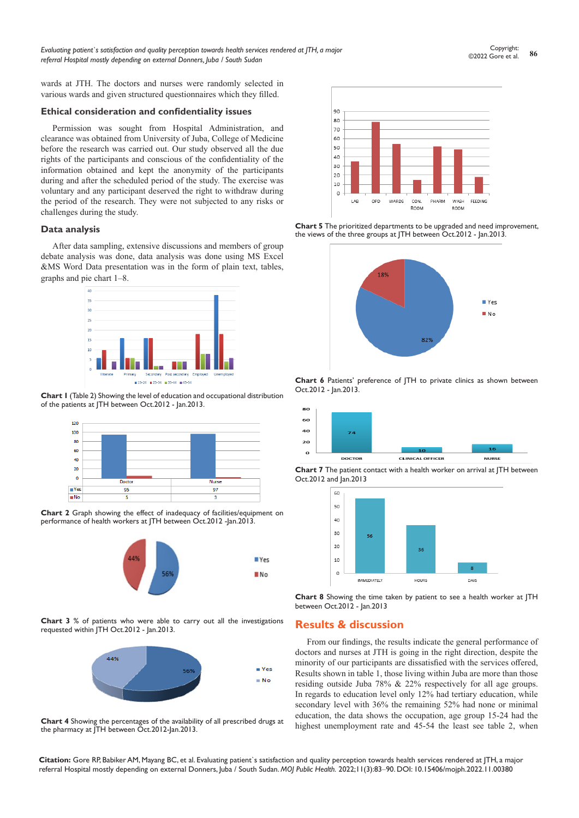**<sup>86</sup>** Copyright: ©2022 Gore et al.

wards at JTH. The doctors and nurses were randomly selected in various wards and given structured questionnaires which they filled.

#### **Ethical consideration and confidentiality issues**

Permission was sought from Hospital Administration, and clearance was obtained from University of Juba, College of Medicine before the research was carried out. Our study observed all the due rights of the participants and conscious of the confidentiality of the information obtained and kept the anonymity of the participants during and after the scheduled period of the study. The exercise was voluntary and any participant deserved the right to withdraw during the period of the research. They were not subjected to any risks or challenges during the study.

#### **Data analysis**

After data sampling, extensive discussions and members of group debate analysis was done, data analysis was done using MS Excel &MS Word Data presentation was in the form of plain text, tables, graphs and pie chart 1–8.



**Chart 1** (Table 2) Showing the level of education and occupational distribution of the patients at JTH between Oct.2012 - Jan.2013.



**Chart 2** Graph showing the effect of inadequacy of facilities/equipment on performance of health workers at JTH between Oct.2012 -Jan.2013.



**Chart 3** % of patients who were able to carry out all the investigations requested within JTH Oct.2012 - Jan.2013.



**Chart 4** Showing the percentages of the availability of all prescribed drugs at the pharmacy at JTH between Oct.2012-Jan.2013.



**Chart 5** The prioritized departments to be upgraded and need improvement, the views of the three groups at JTH between Oct.2012 - Jan.2013.



**Chart 6** Patients' preference of JTH to private clinics as shown between Oct.2012 - Jan.2013.



**Chart 7** The patient contact with a health worker on arrival at JTH between Oct.2012 and Jan.2013



**Chart 8** Showing the time taken by patient to see a health worker at JTH between Oct.2012 - Jan.2013

# **Results & discussion**

From our findings, the results indicate the general performance of doctors and nurses at JTH is going in the right direction, despite the minority of our participants are dissatisfied with the services offered, Results shown in table 1, those living within Juba are more than those residing outside Juba 78% & 22% respectively for all age groups. In regards to education level only 12% had tertiary education, while secondary level with 36% the remaining 52% had none or minimal education, the data shows the occupation, age group 15-24 had the highest unemployment rate and 45-54 the least see table 2, when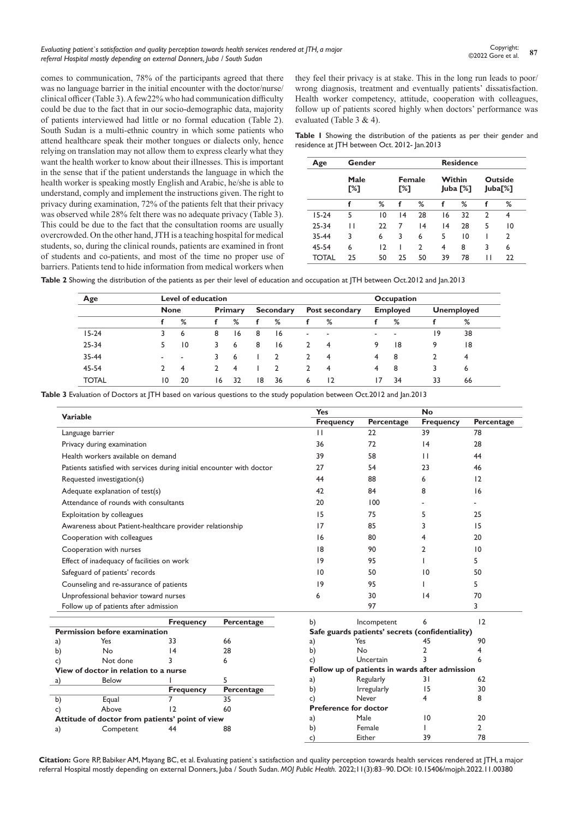#### *Evaluating patient`s satisfaction and quality perception towards health services rendered at JTH, a major referral Hospital mostly depending on external Donners, Juba / South Sudan*

comes to communication, 78% of the participants agreed that there was no language barrier in the initial encounter with the doctor/nurse/ clinical officer (Table 3). A few22% who had communication difficulty could be due to the fact that in our socio-demographic data, majority of patients interviewed had little or no formal education (Table 2). South Sudan is a multi-ethnic country in which some patients who attend healthcare speak their mother tongues or dialects only, hence relying on translation may not allow them to express clearly what they want the health worker to know about their illnesses. This is important in the sense that if the patient understands the language in which the health worker is speaking mostly English and Arabic, he/she is able to understand, comply and implement the instructions given. The right to privacy during examination, 72% of the patients felt that their privacy was observed while 28% felt there was no adequate privacy (Table 3). This could be due to the fact that the consultation rooms are usually overcrowded. On the other hand, JTH is a teaching hospital for medical students, so, during the clinical rounds, patients are examined in front of students and co-patients, and most of the time no proper use of barriers. Patients tend to hide information from medical workers when

they feel their privacy is at stake. This in the long run leads to poor/ wrong diagnosis, treatment and eventually patients' dissatisfaction. Health worker competency, attitude, cooperation with colleagues, follow up of patients scored highly when doctors' performance was evaluated (Table 3 & 4).

**Table 1** Showing the distribution of the patients as per their gender and residence at JTH between Oct. 2012- Jan.2013

| Age     | Gender      |    |                      |                 | <b>Residence</b>   |    |                           |    |
|---------|-------------|----|----------------------|-----------------|--------------------|----|---------------------------|----|
|         | Male<br>[%] |    | <b>Female</b><br>Г%1 |                 | Within<br>Juba [%] |    | <b>Outside</b><br>Juba[%] |    |
|         | f           | %  | f                    | %               | f                  | %  | f                         | %  |
| $15-24$ | 5           | 10 | 4                    | 28              | 16                 | 32 | $\mathcal{P}$             | 4  |
| 25-34   | П           | 22 | 7                    | $\overline{14}$ | 4                  | 28 | 5                         | 10 |
| 35-44   | 3           | 6  | 3                    | 6               | 5                  | 10 |                           | 2  |
| 45-54   | 6           | 12 |                      | $\mathcal{P}$   | 4                  | 8  | 3                         | 6  |
| TOTAL   | 25          | 50 | 25                   | 50              | 39                 | 78 | П                         | 22 |

**Table 2** Showing the distribution of the patients as per their level of education and occupation at JTH between Oct.2012 and Jan.2013

| Age          |             | Level of education       |    |         |    |                  |   |                          |   | Occupation      |    |                   |  |
|--------------|-------------|--------------------------|----|---------|----|------------------|---|--------------------------|---|-----------------|----|-------------------|--|
|              | <b>None</b> |                          |    | Primary |    | <b>Secondary</b> |   | Post secondary           |   | <b>Employed</b> |    | <b>Unemployed</b> |  |
|              |             | %                        |    | %       | f  | %                |   | %                        |   | %               |    | %                 |  |
| $15-24$      | 3.          | 6                        | 8  | 16      | 8  | 16               | - | $\overline{\phantom{a}}$ | - | ۰               | 19 | 38                |  |
| $25 - 34$    | 5.          | $\overline{10}$          | 3  | 6       | 8  | 16               | າ | 4                        | 9 | 18              | 9  | 18                |  |
| 35-44        |             | $\overline{\phantom{a}}$ |    | 6       |    |                  | 2 | 4                        | 4 | 8               |    | 4                 |  |
| 45-54        |             | 4                        |    | 4       |    |                  | າ | 4                        | 4 | 8               | 3  | 6                 |  |
| <b>TOTAL</b> | 10          | 20                       | 16 | 32      | 18 | 36               | 6 | $\overline{12}$          | 7 | 34              | 33 | 66                |  |

**Table 3** Evaluation of Doctors at JTH based on various questions to the study population between Oct.2012 and Jan.2013

| <b>Variable</b> |                                                                       |                  |            | <b>Yes</b>                                      |                    | <b>No</b>        |            |  |
|-----------------|-----------------------------------------------------------------------|------------------|------------|-------------------------------------------------|--------------------|------------------|------------|--|
|                 |                                                                       |                  |            | <b>Frequency</b>                                | Percentage         | <b>Frequency</b> | Percentage |  |
|                 | Language barrier                                                      |                  |            | $\mathbf{H}$                                    | 22                 | 39               | 78         |  |
|                 | Privacy during examination                                            |                  |            | 36                                              | 72                 | 4                | 28         |  |
|                 | Health workers available on demand                                    |                  |            | 39                                              | 58                 | $\mathbf{H}$     | 44         |  |
|                 | Patients satisfied with services during initial encounter with doctor |                  | 27         | 54                                              | 23                 | 46               |            |  |
|                 | Requested investigation(s)                                            |                  | 44         | 88                                              | 6                  | 12               |            |  |
|                 | Adequate explanation of test(s)                                       |                  | 42         | 84                                              | 8                  | 16               |            |  |
|                 | Attendance of rounds with consultants                                 |                  |            | 20                                              | 100                |                  |            |  |
|                 | <b>Exploitation by colleagues</b>                                     |                  | 15         | 75                                              | 5                  | 25               |            |  |
|                 | Awareness about Patient-healthcare provider relationship              |                  |            | 17                                              | 85                 | 3                | 15         |  |
|                 | Cooperation with colleagues                                           |                  |            | 16                                              | 80                 | 4                | 20         |  |
|                 | Cooperation with nurses                                               |                  |            | 18                                              | 90                 | 2                | 10         |  |
|                 | Effect of inadequacy of facilities on work                            |                  |            | 19                                              | 95                 |                  | 5          |  |
|                 | Safeguard of patients' records                                        |                  |            | 10                                              | 50                 | 10               | 50         |  |
|                 | Counseling and re-assurance of patients                               |                  |            | 9                                               | 95                 |                  | 5          |  |
|                 | Unprofessional behavior toward nurses                                 |                  |            | 6                                               | 30                 | 4                | 70         |  |
|                 | Follow up of patients after admission                                 |                  |            |                                                 | 97                 |                  | 3          |  |
|                 |                                                                       |                  |            |                                                 |                    |                  |            |  |
|                 |                                                                       | <b>Frequency</b> | Percentage | b)                                              | Incompetent        | 6                | 12         |  |
|                 | Permission before examination                                         |                  |            | Safe guards patients' secrets (confidentiality) |                    |                  |            |  |
| a)              | Yes                                                                   | 33               | 66         | a)                                              | Yes                | 45               | 90         |  |
| b)              | <b>No</b>                                                             | 14               | 28         | b)                                              | <b>No</b>          | 2                | 4          |  |
| c)              | Not done                                                              |                  | 6          | c)                                              | Uncertain          | ς                | 6          |  |
|                 | View of doctor in relation to a nurse                                 |                  |            | Follow up of patients in wards after admission  |                    |                  |            |  |
| a)              | Below                                                                 |                  | 5          | a)                                              | Regularly          | 31               | 62         |  |
|                 |                                                                       | <b>Frequency</b> | Percentage | b)                                              | <b>Irregularly</b> | 15               | 30         |  |
| b)              | Equal                                                                 | 7                | 35         | c)                                              | Never              | 4                | 8          |  |
| c)              | Above                                                                 | 12               | 60         | <b>Preference for doctor</b>                    |                    |                  |            |  |
|                 | Attitude of doctor from patients' point of view                       |                  |            | a)                                              | Male               | $\overline{10}$  | 20         |  |
| a)              | Competent                                                             | 44               | 88         | b)                                              | Female             |                  | 2          |  |
|                 |                                                                       |                  |            | c)                                              | Either             | 39               | 78         |  |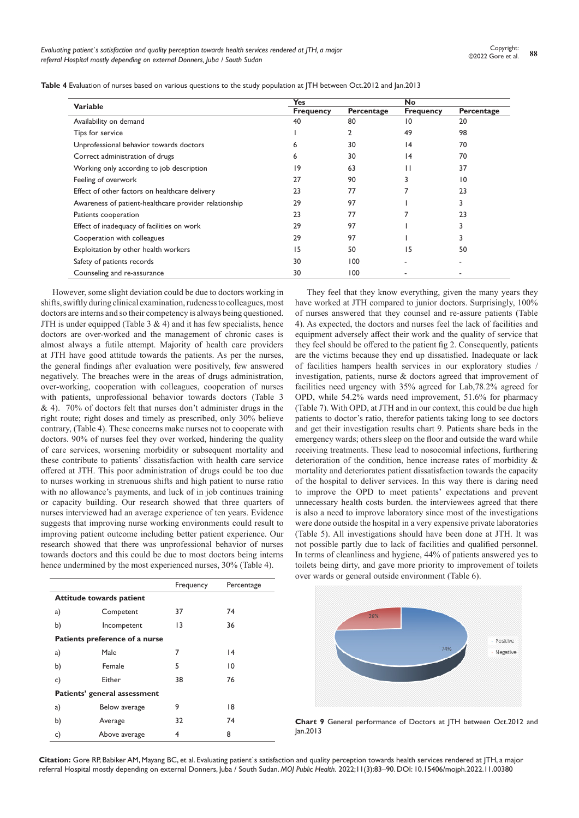|                                                       | <b>Yes</b>       |            | <b>No</b>        |                 |
|-------------------------------------------------------|------------------|------------|------------------|-----------------|
| <b>Variable</b>                                       | <b>Frequency</b> | Percentage | <b>Frequency</b> | Percentage      |
| Availability on demand                                | 40               | 80         | 10               | 20              |
| Tips for service                                      |                  | 2          | 49               | 98              |
| Unprofessional behavior towards doctors               | 6                | 30         | 4                | 70              |
| Correct administration of drugs                       | 6                | 30         | 4                | 70              |
| Working only according to job description             | 9                | 63         | П                | 37              |
| Feeling of overwork                                   | 27               | 90         |                  | $\overline{10}$ |
| Effect of other factors on healthcare delivery        | 23               | 77         |                  | 23              |
| Awareness of patient-healthcare provider relationship | 29               | 97         |                  | 3               |
| Patients cooperation                                  | 23               | 77         |                  | 23              |
| Effect of inadequacy of facilities on work            | 29               | 97         |                  | 3               |
| Cooperation with colleagues                           | 29               | 97         |                  | 3               |
| Exploitation by other health workers                  | 15               | 50         | 15               | 50              |
| Safety of patients records                            | 30               | 100        |                  | ۰               |
| Counseling and re-assurance                           | 30               | 100        |                  |                 |

However, some slight deviation could be due to doctors working in shifts, swiftly during clinical examination, rudeness to colleagues, most doctors are interns and so their competency is always being questioned. JTH is under equipped (Table 3  $\&$  4) and it has few specialists, hence doctors are over-worked and the management of chronic cases is almost always a futile attempt. Majority of health care providers at JTH have good attitude towards the patients. As per the nurses, the general findings after evaluation were positively, few answered negatively. The breaches were in the areas of drugs administration, over-working, cooperation with colleagues, cooperation of nurses with patients, unprofessional behavior towards doctors (Table 3 & 4). 70% of doctors felt that nurses don't administer drugs in the right route; right doses and timely as prescribed, only 30% believe contrary, (Table 4). These concerns make nurses not to cooperate with doctors. 90% of nurses feel they over worked, hindering the quality of care services, worsening morbidity or subsequent mortality and these contribute to patients' dissatisfaction with health care service offered at JTH. This poor administration of drugs could be too due to nurses working in strenuous shifts and high patient to nurse ratio with no allowance's payments, and luck of in job continues training or capacity building. Our research showed that three quarters of nurses interviewed had an average experience of ten years. Evidence suggests that improving nurse working environments could result to improving patient outcome including better patient experience. Our research showed that there was unprofessional behavior of nurses towards doctors and this could be due to most doctors being interns hence undermined by the most experienced nurses, 30% (Table 4).

|    |                                 | Frequency | Percentage |  |
|----|---------------------------------|-----------|------------|--|
|    | <b>Attitude towards patient</b> |           |            |  |
| a) | Competent                       | 37        | 74         |  |
| b) | Incompetent                     | 13        | 36         |  |
|    | Patients preference of a nurse  |           |            |  |
| a) | Male                            | 7         | 4          |  |
| b) | Female                          | 5         | 10         |  |
| c) | Either                          | 38        | 76         |  |
|    | Patients' general assessment    |           |            |  |
| a) | Below average                   | 9         | 18         |  |
| b) | Average                         | 32        | 74         |  |
| c) | Above average                   | 4         | 8          |  |
|    |                                 |           |            |  |

They feel that they know everything, given the many years they have worked at JTH compared to junior doctors. Surprisingly, 100% of nurses answered that they counsel and re-assure patients (Table 4). As expected, the doctors and nurses feel the lack of facilities and equipment adversely affect their work and the quality of service that they feel should be offered to the patient fig 2. Consequently, patients are the victims because they end up dissatisfied. Inadequate or lack of facilities hampers health services in our exploratory studies / investigation, patients, nurse & doctors agreed that improvement of facilities need urgency with 35% agreed for Lab,78.2% agreed for OPD, while 54.2% wards need improvement, 51.6% for pharmacy (Table 7). With OPD, at JTH and in our context, this could be due high patients to doctor's ratio, therefor patients taking long to see doctors and get their investigation results chart 9. Patients share beds in the emergency wards; others sleep on the floor and outside the ward while receiving treatments. These lead to nosocomial infections, furthering deterioration of the condition, hence increase rates of morbidity & mortality and deteriorates patient dissatisfaction towards the capacity of the hospital to deliver services. In this way there is daring need to improve the OPD to meet patients' expectations and prevent unnecessary health costs burden. the interviewees agreed that there is also a need to improve laboratory since most of the investigations were done outside the hospital in a very expensive private laboratories (Table 5). All investigations should have been done at JTH. It was not possible partly due to lack of facilities and qualified personnel. In terms of cleanliness and hygiene, 44% of patients answered yes to toilets being dirty, and gave more priority to improvement of toilets over wards or general outside environment (Table 6).



**Chart 9** General performance of Doctors at JTH between Oct.2012 and Jan.2013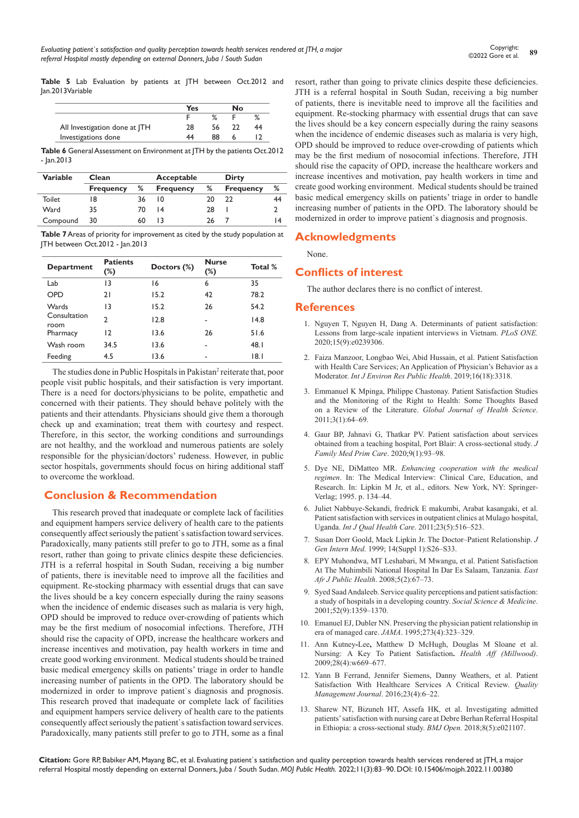**Table 5** Lab Evaluation by patients at JTH between Oct.2012 and Jan.2013Variable

|                               | Yes |    | N٥ |    |
|-------------------------------|-----|----|----|----|
|                               |     |    |    |    |
| All Investigation done at ITH | 28  |    |    | 44 |
| Investigations done           |     | 88 |    |    |

**Table 6** General Assessment on Environment at JTH by the patients Oct.2012 - Jan.2013

| <b>Variable</b><br>Clean |                  |    | Acceptable       | Dirty |                  |    |
|--------------------------|------------------|----|------------------|-------|------------------|----|
|                          | <b>Frequency</b> | ℅  | <b>Frequency</b> | ℅     | <b>Frequency</b> | %  |
| Toilet                   | 18               | 36 | 10               | 20    | 22               | 44 |
| Ward                     | 35               | 70 | $\overline{14}$  | 28    |                  |    |
| Compound                 | 30               | 60 |                  | 26    |                  | 14 |

**Table 7** Areas of priority for improvement as cited by the study population at JTH between Oct.2012 - Jan.2013

| <b>Department</b>    | <b>Patients</b><br>$(\%)$ | Doctors (%) | <b>Nurse</b><br>$(\%)$ | Total % |
|----------------------|---------------------------|-------------|------------------------|---------|
| Lab                  | 13                        | 16          | 6                      | 35      |
| OPD                  | 21                        | 15.2        | 42                     | 78.2    |
| Wards                | 13                        | 15.2        | 26                     | 54.2    |
| Consultation<br>room | C                         | 12.8        |                        | 14.8    |
| Pharmacy             | 12                        | 13.6        | 26                     | 51.6    |
| Wash room            | 34.5                      | 13.6        |                        | 48.1    |
| Feeding              | 4.5                       | 13.6        |                        | 18.1    |

The studies done in Public Hospitals in Pakistan<sup>2</sup> reiterate that, poor people visit public hospitals, and their satisfaction is very important. There is a need for doctors/physicians to be polite, empathetic and concerned with their patients. They should behave politely with the patients and their attendants. Physicians should give them a thorough check up and examination; treat them with courtesy and respect. Therefore, in this sector, the working conditions and surroundings are not healthy, and the workload and numerous patients are solely responsible for the physician/doctors' rudeness. However, in public sector hospitals, governments should focus on hiring additional staff to overcome the workload.

# **Conclusion & Recommendation**

This research proved that inadequate or complete lack of facilities and equipment hampers service delivery of health care to the patients consequently affect seriously the patient`s satisfaction toward services. Paradoxically, many patients still prefer to go to JTH, some as a final resort, rather than going to private clinics despite these deficiencies. JTH is a referral hospital in South Sudan, receiving a big number of patients, there is inevitable need to improve all the facilities and equipment. Re-stocking pharmacy with essential drugs that can save the lives should be a key concern especially during the rainy seasons when the incidence of endemic diseases such as malaria is very high, OPD should be improved to reduce over-crowding of patients which may be the first medium of nosocomial infections. Therefore, JTH should rise the capacity of OPD, increase the healthcare workers and increase incentives and motivation, pay health workers in time and create good working environment. Medical students should be trained basic medical emergency skills on patients' triage in order to handle increasing number of patients in the OPD. The laboratory should be modernized in order to improve patient`s diagnosis and prognosis. This research proved that inadequate or complete lack of facilities and equipment hampers service delivery of health care to the patients consequently affect seriously the patient`s satisfaction toward services. Paradoxically, many patients still prefer to go to JTH, some as a final

resort, rather than going to private clinics despite these deficiencies. JTH is a referral hospital in South Sudan, receiving a big number of patients, there is inevitable need to improve all the facilities and equipment. Re-stocking pharmacy with essential drugs that can save the lives should be a key concern especially during the rainy seasons when the incidence of endemic diseases such as malaria is very high, OPD should be improved to reduce over-crowding of patients which may be the first medium of nosocomial infections. Therefore, JTH should rise the capacity of OPD, increase the healthcare workers and increase incentives and motivation, pay health workers in time and create good working environment. Medical students should be trained basic medical emergency skills on patients' triage in order to handle increasing number of patients in the OPD. The laboratory should be modernized in order to improve patient`s diagnosis and prognosis.

# **Acknowledgments**

None.

# **Conflicts of interest**

The author declares there is no conflict of interest.

### **References**

- 1. [Nguyen T, Nguyen H, Dang A. Determinants of patient satisfaction:](https://pubmed.ncbi.nlm.nih.gov/32946537/)  [Lessons from large-scale inpatient interviews in Vietnam.](https://pubmed.ncbi.nlm.nih.gov/32946537/) *PLoS ONE.* [2020;15\(9\):e0239306.](https://pubmed.ncbi.nlm.nih.gov/32946537/)
- 2. [Faiza Manzoor, Longbao Wei, Abid Hussain, et al. Patient Satisfaction](https://pubmed.ncbi.nlm.nih.gov/31505840/)  [with Health Care Services; An Application of Physician's Behavior as a](https://pubmed.ncbi.nlm.nih.gov/31505840/)  Moderator. *[Int J Environ Res Public Health](https://pubmed.ncbi.nlm.nih.gov/31505840/)*. 2019;16(18):3318.
- 3. [Emmanuel K Mpinga, Philippe Chastonay. Patient Satisfaction Studies](file:///C:\Users\User005\Downloads\8093-30469-1-PB.pdf)  [and the Monitoring of the Right to Health: Some Thoughts Based](file:///C:\Users\User005\Downloads\8093-30469-1-PB.pdf)  on a Review of the Literature. *[Global Journal of Health Science](file:///C:\Users\User005\Downloads\8093-30469-1-PB.pdf)*. [2011;3\(1\):64–69.](file:///C:\Users\User005\Downloads\8093-30469-1-PB.pdf)
- 4. [Gaur BP, Jahnavi G, Thatkar PV. Patient satisfaction about services](https://pubmed.ncbi.nlm.nih.gov/32110572/)  [obtained from a teaching hospital, Port Blair: A cross-sectional study.](https://pubmed.ncbi.nlm.nih.gov/32110572/) *J [Family Med Prim Care](https://pubmed.ncbi.nlm.nih.gov/32110572/)*. 2020;9(1):93–98.
- 5. Dye NE, DiMatteo MR. *Enhancing cooperation with the medical regimen*. In: The Medical Interview: Clinical Care, Education, and Research. In: Lipkin M Jr, et al., editors. New York, NY: Springer-Verlag; 1995. p. 134–44.
- 6. [Juliet Nabbuye-Sekandi, fredrick E makumbi, Arabat kasangaki, et al.](https://pubmed.ncbi.nlm.nih.gov/21775313/)  [Patient satisfaction with services in outpatient clinics at Mulago hospital,](https://pubmed.ncbi.nlm.nih.gov/21775313/)  Uganda. *[Int J Qual Health Care](https://pubmed.ncbi.nlm.nih.gov/21775313/)*. 2011;23(5):516–523.
- 7. [Susan Dorr Goold, Mack Lipkin Jr. The Doctor–Patient Relationship.](https://pubmed.ncbi.nlm.nih.gov/9933492/) *J Gen Intern Med*[. 1999; 14\(Suppl 1\):S26–S33.](https://pubmed.ncbi.nlm.nih.gov/9933492/)
- 8. [EPY Muhondwa, MT Leshabari, M Mwangu, et al. Patient Satisfaction](https://pubmed.ncbi.nlm.nih.gov/19024413/)  [At The Muhimbili National Hospital In Dar Es Salaam, Tanzania.](https://pubmed.ncbi.nlm.nih.gov/19024413/) *East [Afr J Public Health](https://pubmed.ncbi.nlm.nih.gov/19024413/)*. 2008;5(2):67–73.
- 9. [Syed Saad Andaleeb. Service quality perceptions and patient satisfaction:](https://pubmed.ncbi.nlm.nih.gov/11286361/)  [a study of hospitals in a developing country.](https://pubmed.ncbi.nlm.nih.gov/11286361/) *Social Science & Medicine*. [2001;52\(9\):1359–1370.](https://pubmed.ncbi.nlm.nih.gov/11286361/)
- 10. [Emanuel EJ, Dubler NN. Preserving the physician patient relationship in](https://pubmed.ncbi.nlm.nih.gov/7815662/)  era of managed care. *JAMA*[. 1995;273\(4\):323–329.](https://pubmed.ncbi.nlm.nih.gov/7815662/)
- 11. Ann Kutney**-**Lee**,** [Matthew D McHugh, Douglas M Sloane et al.](https://pubmed.ncbi.nlm.nih.gov/19525287/)  Nursing: [A Key To Patient Satisfaction](https://pubmed.ncbi.nlm.nih.gov/19525287/)**.** *Health Aff (Millwood)*. [2009;28\(4\):w669–677.](https://pubmed.ncbi.nlm.nih.gov/19525287/)
- 12. [Yann B Ferrand, Jennifer Siemens, Danny Weathers, et al.](https://www.tandfonline.com/doi/abs/10.1080/10686967.2016.11918486) Patient [Satisfaction With Healthcare Services A Critical Review.](https://www.tandfonline.com/doi/abs/10.1080/10686967.2016.11918486) *Quality [Management Journal](https://www.tandfonline.com/doi/abs/10.1080/10686967.2016.11918486)*. 2016;23(4):6–22.
- 13. Sharew NT, Bizuneh HT, Assefa HK*,* [et al. Investigating admitted](https://bmjopen.bmj.com/content/8/5/e021107)  [patients' satisfaction with nursing care at Debre Berhan Referral Hospital](https://bmjopen.bmj.com/content/8/5/e021107)  [in Ethiopia: a cross-sectional study.](https://bmjopen.bmj.com/content/8/5/e021107) *BMJ Open.* 2018;8(5):e021107.